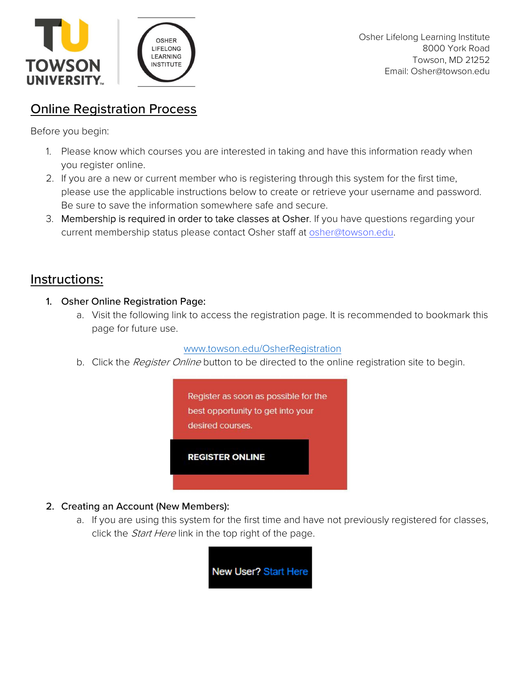

## Online Registration Process

Before you begin:

- 1. Please know which courses you are interested in taking and have this information ready when you register online.
- 2. If you are a new or current member who is registering through this system for the first time, please use the applicable instructions below to create or retrieve your username and password. Be sure to save the information somewhere safe and secure.
- 3. Membership is required in order to take classes at Osher. If you have questions regarding your current membership status please contact Osher staff at [osher@towson.edu](mailto:osher@towson.edu).

### Instructions:

- 1. Osher Online Registration Page:
	- a. Visit the following link to access the registration page. It is recommended to bookmark this page for future use.

#### www.towson.edu/OsherRegistration

b. Click the Register Online button to be directed to the online registration site to begin.



#### 2. Creating an Account (New Members):

a. If you are using this system for the first time and have not previously registered for classes, click the *Start Here* link in the top right of the page.

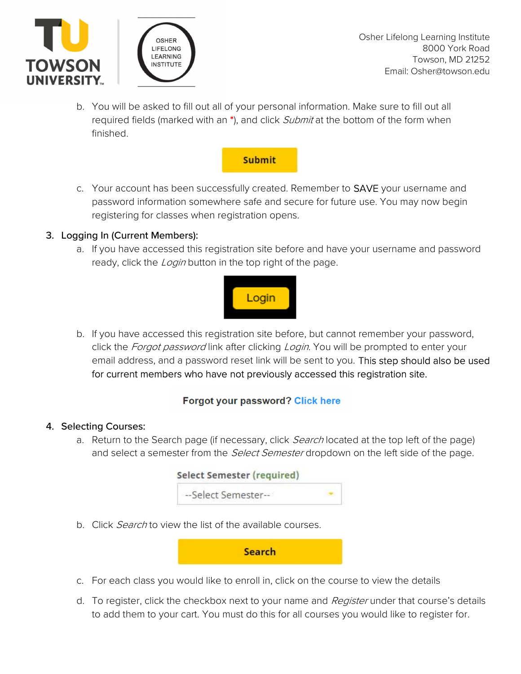



b. You will be asked to fill out all of your personal information. Make sure to fill out all required fields (marked with an \*), and click Submit at the bottom of the form when finished.



- c. Your account has been successfully created. Remember to **SAVE** your username and password information somewhere safe and secure for future use. You may now begin registering for classes when registration opens.
- 3. Logging In (Current Members):
	- a. If you have accessed this registration site before and have your username and password ready, click the Login button in the top right of the page.



b. If you have accessed this registration site before, but cannot remember your password, click the *Forgot password* link after clicking *Login*. You will be prompted to enter your email address, and a password reset link will be sent to you. This step should also be used for current members who have not previously accessed this registration site.

### Forgot your password? Click here

#### 4. Selecting Courses:

a. Return to the Search page (if necessary, click Search located at the top left of the page) and select a semester from the *Select Semester* dropdown on the left side of the page.

| Select Semester (required) |  |
|----------------------------|--|
| --Select Semester--        |  |

b. Click *Search* to view the list of the available courses.



- c. For each class you would like to enroll in, click on the course to view the details
- d. To register, click the checkbox next to your name and Register under that course's details to add them to your cart. You must do this for all courses you would like to register for.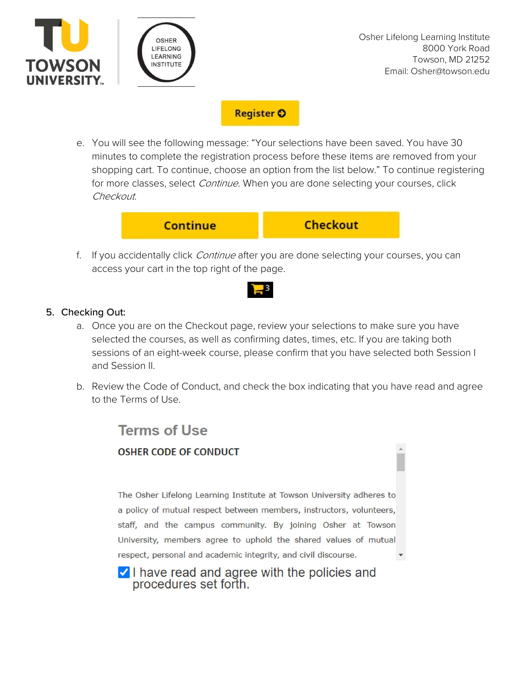



Osher Lifelong Learning Institute 8000 York Road Towson, MD 21252 Email: Osher@towson.edu

#### **Register O**

e. You will see the following message: "Your selections have been saved. You have 30 minutes to complete the registration process before these items are removed from your shopping cart. To continue, choose an option from the list below." To continue registering for more classes, select *Continue*. When you are done selecting your courses, click Checkout.



f. If you accidentally click *Continue* after you are done selecting your courses, you can access your cart in the top right of the page.

#### 5. Checking Out:

- a. Once you are on the Checkout page, review your selections to make sure you have selected the courses, as well as confirming dates, times, etc. If you are taking both sessions of an eight-week course, please confirm that you have selected both Session I and Session II.
- b. Review the Code of Conduct, and check the box indicating that you have read and agree to the Terms of Use.

# **Terms of Use OSHER CODE OF CONDUCT**

The Osher Lifelong Learning Institute at Towson University adheres to a policy of mutual respect between members, instructors, volunteers, staff, and the campus community. By joining Osher at Towson University, members agree to uphold the shared values of mutual respect, personal and academic integrity, and civil discourse.

 $\vee$  I have read and agree with the policies and procedures set forth.